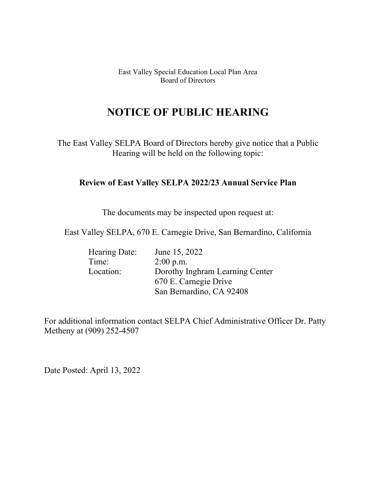East Valley Special Education Local Plan Area Board of Directors

## **NOTICE OF PUBLIC HEARING**

The East Valley SELPA Board of Directors hereby give notice that a Public Hearing will be held on the following topic:

## **Review of East Valley SELPA 2022/23 Annual Service Plan**

The documents may be inspected upon request at:

East Valley SELPA, 670 E. Carnegie Drive, San Bernardino, California

| Hearing Date: | June 15, 2022                   |
|---------------|---------------------------------|
| Time:         | $2:00$ p.m.                     |
| Location:     | Dorothy Inghram Learning Center |
|               | 670 E. Carnegie Drive           |
|               | San Bernardino, CA 92408        |

For additional information contact SELPA Chief Administrative Officer Dr. Patty Metheny at (909) 252-4507

Date Posted: April 13, 2022